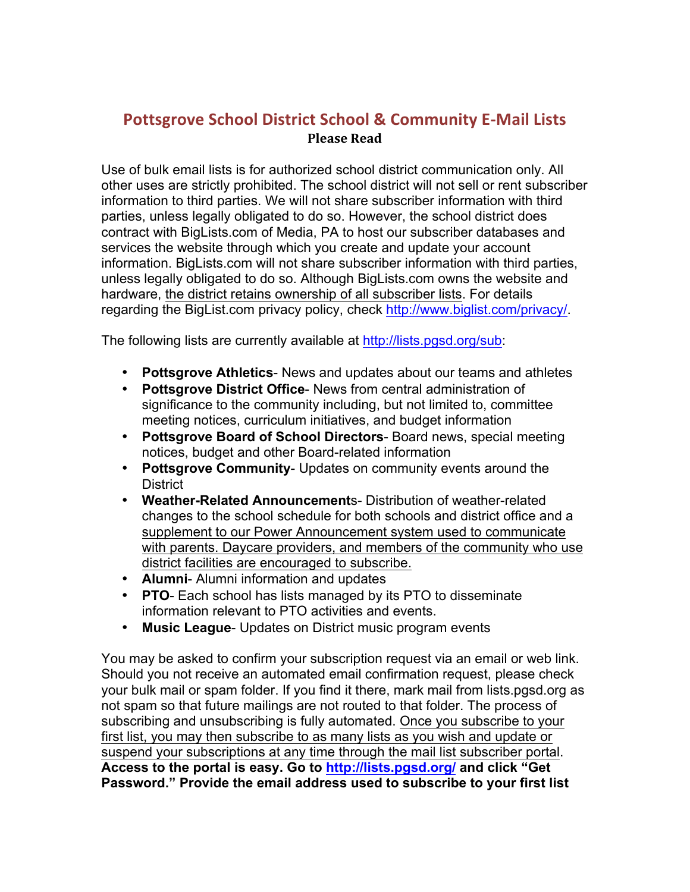## **Pottsgrove School District School & Community E-Mail Lists Please Read**

Use of bulk email lists is for authorized school district communication only. All other uses are strictly prohibited. The school district will not sell or rent subscriber information to third parties. We will not share subscriber information with third parties, unless legally obligated to do so. However, the school district does contract with BigLists.com of Media, PA to host our subscriber databases and services the website through which you create and update your account information. BigLists.com will not share subscriber information with third parties, unless legally obligated to do so. Although BigLists.com owns the website and hardware, the district retains ownership of all subscriber lists. For details regarding the BigList.com privacy policy, check http://www.biglist.com/privacy/.

The following lists are currently available at http://lists.pgsd.org/sub:

- **Pottsgrove Athletics** News and updates about our teams and athletes
- **Pottsgrove District Office** News from central administration of significance to the community including, but not limited to, committee meeting notices, curriculum initiatives, and budget information
- **Pottsgrove Board of School Directors** Board news, special meeting notices, budget and other Board-related information
- **Pottsgrove Community** Updates on community events around the **District**
- **Weather-Related Announcement**s- Distribution of weather-related changes to the school schedule for both schools and district office and a supplement to our Power Announcement system used to communicate with parents. Daycare providers, and members of the community who use district facilities are encouraged to subscribe.
- **Alumni** Alumni information and updates
- **PTO** Each school has lists managed by its PTO to disseminate information relevant to PTO activities and events.
- **Music League** Updates on District music program events

You may be asked to confirm your subscription request via an email or web link. Should you not receive an automated email confirmation request, please check your bulk mail or spam folder. If you find it there, mark mail from lists.pgsd.org as not spam so that future mailings are not routed to that folder. The process of subscribing and unsubscribing is fully automated. Once you subscribe to your first list, you may then subscribe to as many lists as you wish and update or suspend your subscriptions at any time through the mail list subscriber portal. **Access to the portal is easy. Go to http://lists.pgsd.org/ and click "Get Password." Provide the email address used to subscribe to your first list**